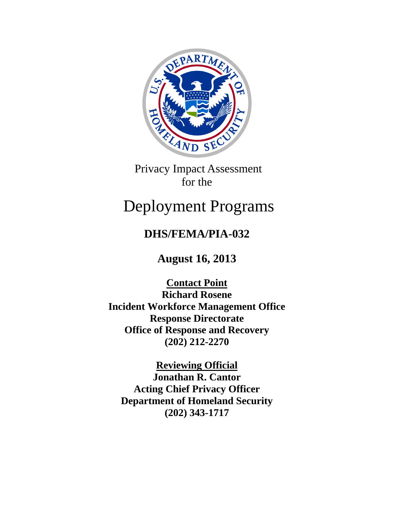

Privacy Impact Assessment for the

# Deployment Programs

# **DHS/FEMA/PIA-032**

**August 16, 2013**

**Contact Point Richard Rosene Incident Workforce Management Office Response Directorate Office of Response and Recovery (202) 212-2270**

**Reviewing Official Jonathan R. Cantor Acting Chief Privacy Officer Department of Homeland Security (202) 343-1717**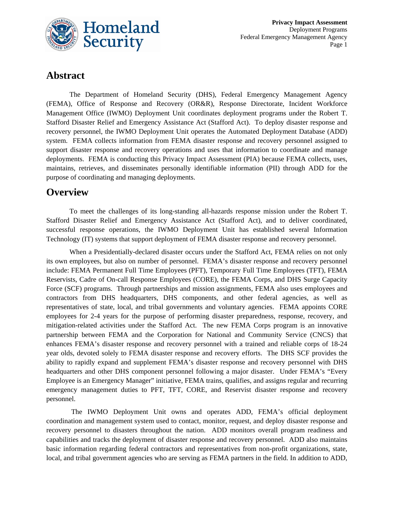

### **Abstract**

The Department of Homeland Security (DHS), Federal Emergency Management Agency (FEMA), Office of Response and Recovery (OR&R), Response Directorate, Incident Workforce Management Office (IWMO) Deployment Unit coordinates deployment programs under the Robert T. Stafford Disaster Relief and Emergency Assistance Act (Stafford Act). To deploy disaster response and recovery personnel, the IWMO Deployment Unit operates the Automated Deployment Database (ADD) system. FEMA collects information from FEMA disaster response and recovery personnel assigned to support disaster response and recovery operations and uses that information to coordinate and manage deployments. FEMA is conducting this Privacy Impact Assessment (PIA) because FEMA collects, uses, maintains, retrieves, and disseminates personally identifiable information (PII) through ADD for the purpose of coordinating and managing deployments.

#### **Overview**

To meet the challenges of its long-standing all-hazards response mission under the Robert T. Stafford Disaster Relief and Emergency Assistance Act (Stafford Act), and to deliver coordinated, successful response operations, the IWMO Deployment Unit has established several Information Technology (IT) systems that support deployment of FEMA disaster response and recovery personnel.

When a Presidentially-declared disaster occurs under the Stafford Act, FEMA relies on not only its own employees, but also on number of personnel. FEMA's disaster response and recovery personnel include: FEMA Permanent Full Time Employees (PFT), Temporary Full Time Employees (TFT), FEMA Reservists, Cadre of On-call Response Employees (CORE), the FEMA Corps, and DHS Surge Capacity Force (SCF) programs. Through partnerships and mission assignments, FEMA also uses employees and contractors from DHS headquarters, DHS components, and other federal agencies, as well as representatives of state, local, and tribal governments and voluntary agencies. FEMA appoints CORE employees for 2-4 years for the purpose of performing disaster preparedness, response, recovery, and mitigation-related activities under the Stafford Act. The new FEMA Corps program is an innovative partnership between FEMA and the Corporation for National and Community Service (CNCS) that enhances FEMA's disaster response and recovery personnel with a trained and reliable corps of 18-24 year olds, devoted solely to FEMA disaster response and recovery efforts. The DHS SCF provides the ability to rapidly expand and supplement FEMA's disaster response and recovery personnel with DHS headquarters and other DHS component personnel following a major disaster. Under FEMA's "Every Employee is an Emergency Manager" initiative, FEMA trains, qualifies, and assigns regular and recurring emergency management duties to PFT, TFT, CORE, and Reservist disaster response and recovery personnel.

The IWMO Deployment Unit owns and operates ADD, FEMA's official deployment coordination and management system used to contact, monitor, request, and deploy disaster response and recovery personnel to disasters throughout the nation. ADD monitors overall program readiness and capabilities and tracks the deployment of disaster response and recovery personnel. ADD also maintains basic information regarding federal contractors and representatives from non-profit organizations, state, local, and tribal government agencies who are serving as FEMA partners in the field. In addition to ADD,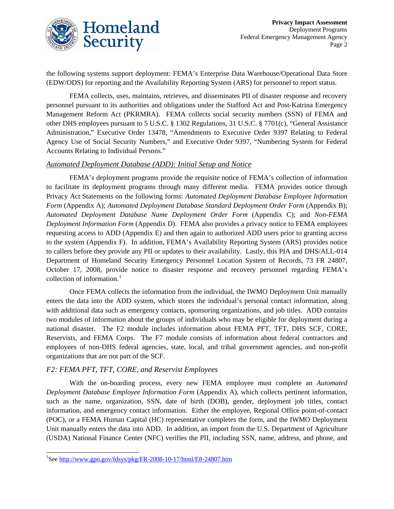

the following systems support deployment: FEMA's Enterprise Data Warehouse/Operational Data Store (EDW/ODS) for reporting and the Availability Reporting System (ARS) for personnel to report status.

FEMA collects, uses, maintains, retrieves, and disseminates PII of disaster response and recovery personnel pursuant to its authorities and obligations under the Stafford Act and Post-Katrina Emergency Management Reform Act (PKRMRA). FEMA collects social security numbers (SSN) of FEMA and other DHS employees pursuant to 5 U.S.C. § 1302 Regulations, 31 U.S.C. § 7701(c), "General Assistance Administration," Executive Order 13478, "Amendments to Executive Order 9397 Relating to Federal Agency Use of Social Security Numbers," and Executive Order 9397, "Numbering System for Federal Accounts Relating to Individual Persons."

#### *Automated Deployment Database (ADD): Initial Setup and Notice*

FEMA's deployment programs provide the requisite notice of FEMA's collection of information to facilitate its deployment programs through many different media. FEMA provides notice through Privacy Act Statements on the following forms: *Automated Deployment Database Employee Information Form* (Appendix A); *Automated Deployment Database Standard Deployment Order Form* (Appendix B); *Automated Deployment Database Name Deployment Order Form* (Appendix C); and *Non-FEMA Deployment Information Form* (Appendix D). FEMA also provides a privacy notice to FEMA employees requesting access to ADD (Appendix E) and then again to authorized ADD users prior to granting access to the system (Appendix F). In addition, FEMA's Availability Reporting System (ARS) provides notice to callers before they provide any PII or updates to their availability. Lastly, this PIA and DHS/ALL-014 Department of Homeland Security Emergency Personnel Location System of Records, 73 FR 24807, October 17, 2008, provide notice to disaster response and recovery personnel regarding FEMA's collection of information. $\frac{1}{1}$  $\frac{1}{1}$  $\frac{1}{1}$ 

Once FEMA collects the information from the individual, the IWMO Deployment Unit manually enters the data into the ADD system, which stores the individual's personal contact information, along with additional data such as emergency contacts, sponsoring organizations, and job titles. ADD contains two modules of information about the groups of individuals who may be eligible for deployment during a national disaster. The F2 module includes information about FEMA PFT, TFT, DHS SCF, CORE, Reservists, and FEMA Corps. The F7 module consists of information about federal contractors and employees of non-DHS federal agencies, state, local, and tribal government agencies, and non-profit organizations that are not part of the SCF.

#### *F2: FEMA PFT, TFT, CORE, and Reservist Employees*

With the on-boarding process, every new FEMA employee must complete an *Automated Deployment Database Employee Information Form* (Appendix A), which collects pertinent information, such as the name, organization, SSN, date of birth (DOB), gender, deployment job titles, contact information, and emergency contact information. Either the employee, Regional Office point-of-contact (POC), or a FEMA Human Capital (HC) representative completes the form, and the IWMO Deployment Unit manually enters the data into ADD. In addition, an import from the U.S. Department of Agriculture (USDA) National Finance Center (NFC) verifies the PII, including SSN, name, address, and phone, and

<span id="page-2-0"></span><sup>&</sup>lt;sup>1</sup>See <u>http://www.gpo.gov/fdsys/pkg/FR-2008-10-17/html/E8-24807.htm</u>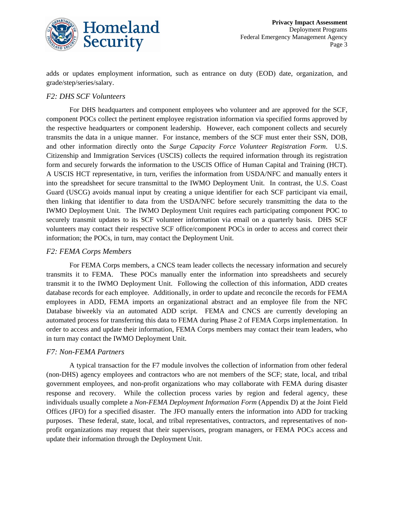

adds or updates employment information, such as entrance on duty (EOD) date, organization, and grade/step/series/salary.

#### *F2: DHS SCF Volunteers*

For DHS headquarters and component employees who volunteer and are approved for the SCF, component POCs collect the pertinent employee registration information via specified forms approved by the respective headquarters or component leadership. However, each component collects and securely transmits the data in a unique manner. For instance, members of the SCF must enter their SSN, DOB, and other information directly onto the *Surge Capacity Force Volunteer Registration Form*. U.S. Citizenship and Immigration Services (USCIS) collects the required information through its registration form and securely forwards the information to the USCIS Office of Human Capital and Training (HCT). A USCIS HCT representative, in turn, verifies the information from USDA/NFC and manually enters it into the spreadsheet for secure transmittal to the IWMO Deployment Unit. In contrast, the U.S. Coast Guard (USCG) avoids manual input by creating a unique identifier for each SCF participant via email, then linking that identifier to data from the USDA/NFC before securely transmitting the data to the IWMO Deployment Unit. The IWMO Deployment Unit requires each participating component POC to securely transmit updates to its SCF volunteer information via email on a quarterly basis. DHS SCF volunteers may contact their respective SCF office/component POCs in order to access and correct their information; the POCs, in turn, may contact the Deployment Unit.

#### *F2: FEMA Corps Members*

For FEMA Corps members, a CNCS team leader collects the necessary information and securely transmits it to FEMA. These POCs manually enter the information into spreadsheets and securely transmit it to the IWMO Deployment Unit. Following the collection of this information, ADD creates database records for each employee. Additionally, in order to update and reconcile the records for FEMA employees in ADD, FEMA imports an organizational abstract and an employee file from the NFC Database biweekly via an automated ADD script. FEMA and CNCS are currently developing an automated process for transferring this data to FEMA during Phase 2 of FEMA Corps implementation. In order to access and update their information, FEMA Corps members may contact their team leaders, who in turn may contact the IWMO Deployment Unit.

#### *F7: Non-FEMA Partners*

A typical transaction for the F7 module involves the collection of information from other federal (non-DHS) agency employees and contractors who are not members of the SCF; state, local, and tribal government employees, and non-profit organizations who may collaborate with FEMA during disaster response and recovery. While the collection process varies by region and federal agency, these individuals usually complete a *Non-FEMA Deployment Information Form* (Appendix D) at the Joint Field Offices (JFO) for a specified disaster. The JFO manually enters the information into ADD for tracking purposes. These federal, state, local, and tribal representatives, contractors, and representatives of nonprofit organizations may request that their supervisors, program managers, or FEMA POCs access and update their information through the Deployment Unit.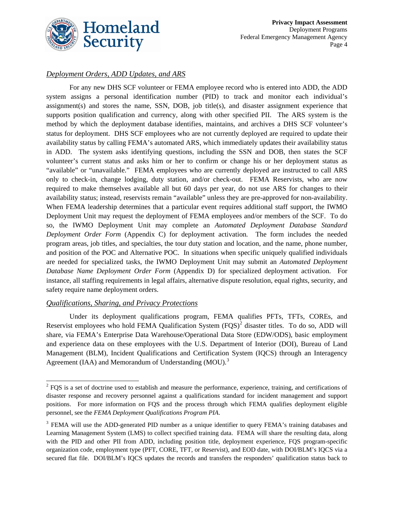

#### *Deployment Orders, ADD Updates, and ARS*

For any new DHS SCF volunteer or FEMA employee record who is entered into ADD, the ADD system assigns a personal identification number (PID) to track and monitor each individual's assignment(s) and stores the name, SSN, DOB, job title(s), and disaster assignment experience that supports position qualification and currency, along with other specified PII. The ARS system is the method by which the deployment database identifies, maintains, and archives a DHS SCF volunteer's status for deployment. DHS SCF employees who are not currently deployed are required to update their availability status by calling FEMA's automated ARS, which immediately updates their availability status in ADD. The system asks identifying questions, including the SSN and DOB, then states the SCF volunteer's current status and asks him or her to confirm or change his or her deployment status as "available" or "unavailable." FEMA employees who are currently deployed are instructed to call ARS only to check-in, change lodging, duty station, and/or check-out. FEMA Reservists, who are now required to make themselves available all but 60 days per year, do not use ARS for changes to their availability status; instead, reservists remain "available" unless they are pre-approved for non-availability. When FEMA leadership determines that a particular event requires additional staff support, the IWMO Deployment Unit may request the deployment of FEMA employees and/or members of the SCF. To do so, the IWMO Deployment Unit may complete an *Automated Deployment Database Standard Deployment Order Form* (Appendix C) for deployment activation*.* The form includes the needed program areas, job titles, and specialties, the tour duty station and location, and the name, phone number, and position of the POC and Alternative POC. In situations when specific uniquely qualified individuals are needed for specialized tasks, the IWMO Deployment Unit may submit an *Automated Deployment Database Name Deployment Order Form* (Appendix D) for specialized deployment activation. For instance, all staffing requirements in legal affairs, alternative dispute resolution, equal rights, security, and safety require name deployment orders.

#### *Qualifications, Sharing, and Privacy Protections*

Under its deployment qualifications program, FEMA qualifies PFTs, TFTs, COREs, and Reservist employees who hold FEMA Qualification System (FQS)<sup>[2](#page-4-0)</sup> disaster titles. To do so, ADD will share, via FEMA's Enterprise Data Warehouse/Operational Data Store (EDW/ODS), basic employment and experience data on these employees with the U.S. Department of Interior (DOI), Bureau of Land Management (BLM), Incident Qualifications and Certification System (IQCS) through an Interagency Agreement (IAA) and Memorandum of Understanding (MOU).<sup>[3](#page-4-1)</sup>

<span id="page-4-0"></span><sup>&</sup>lt;sup>2</sup> FOS is a set of doctrine used to establish and measure the performance, experience, training, and certifications of disaster response and recovery personnel against a qualifications standard for incident management and support positions. For more information on FQS and the process through which FEMA qualifies deployment eligible personnel, see the *FEMA Deployment Qualifications Program PIA*.

<span id="page-4-1"></span><sup>&</sup>lt;sup>3</sup> FEMA will use the ADD-generated PID number as a unique identifier to query FEMA's training databases and Learning Management System (LMS) to collect specified training data. FEMA will share the resulting data, along with the PID and other PII from ADD, including position title, deployment experience, FQS program-specific organization code, employment type (PFT, CORE, TFT, or Reservist), and EOD date, with DOI/BLM's IQCS via a secured flat file. DOI/BLM's IQCS updates the records and transfers the responders' qualification status back to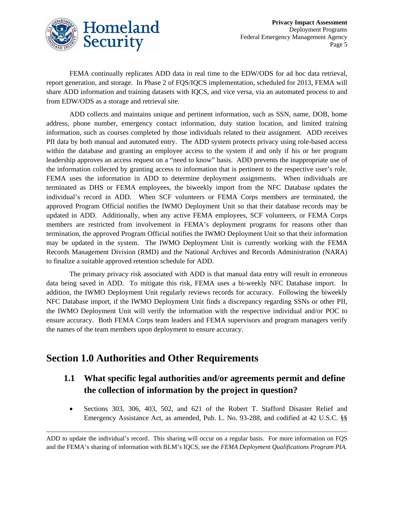

FEMA continually replicates ADD data in real time to the EDW/ODS for ad hoc data retrieval, report generation, and storage. In Phase 2 of FQS/IQCS implementation, scheduled for 2013, FEMA will share ADD information and training datasets with IQCS, and vice versa, via an automated process to and from EDW/ODS as a storage and retrieval site.

ADD collects and maintains unique and pertinent information, such as SSN, name, DOB, home address, phone number, emergency contact information, duty station location, and limited training information, such as courses completed by those individuals related to their assignment. ADD receives PII data by both manual and automated entry. The ADD system protects privacy using role-based access within the database and granting an employee access to the system if and only if his or her program leadership approves an access request on a "need to know" basis. ADD prevents the inappropriate use of the information collected by granting access to information that is pertinent to the respective user's role. FEMA uses the information in ADD to determine deployment assignments. When individuals are terminated as DHS or FEMA employees, the biweekly import from the NFC Database updates the individual's record in ADD. When SCF volunteers or FEMA Corps members are terminated, the approved Program Official notifies the IWMO Deployment Unit so that their database records may be updated in ADD. Additionally, when any active FEMA employees, SCF volunteers, or FEMA Corps members are restricted from involvement in FEMA's deployment programs for reasons other than termination, the approved Program Official notifies the IWMO Deployment Unit so that their information may be updated in the system. The IWMO Deployment Unit is currently working with the FEMA Records Management Division (RMD) and the National Archives and Records Administration (NARA) to finalize a suitable approved retention schedule for ADD.

The primary privacy risk associated with ADD is that manual data entry will result in erroneous data being saved in ADD. To mitigate this risk, FEMA uses a bi-weekly NFC Database import. In addition, the IWMO Deployment Unit regularly reviews records for accuracy. Following the biweekly NFC Database import, if the IWMO Deployment Unit finds a discrepancy regarding SSNs or other PII, the IWMO Deployment Unit will verify the information with the respective individual and/or POC to ensure accuracy. Both FEMA Corps team leaders and FEMA supervisors and program managers verify the names of the team members upon deployment to ensure accuracy.

### **Section 1.0 Authorities and Other Requirements**

 $\overline{a}$ 

#### **1.1 What specific legal authorities and/or agreements permit and define the collection of information by the project in question?**

• Sections 303, 306, 403, 502, and 621 of the Robert T. Stafford Disaster Relief and Emergency Assistance Act, as amended, Pub. L. No. 93-288, and codified at 42 U.S.C. §§

ADD to update the individual's record. This sharing will occur on a regular basis. For more information on FQS and the FEMA's sharing of information with BLM's IQCS, see the *FEMA Deployment Qualifications Program PIA.*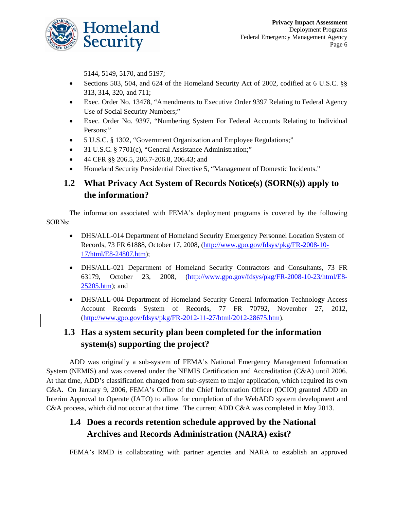

5144, 5149, 5170, and 5197;

- Sections 503, 504, and 624 of the Homeland Security Act of 2002, codified at 6 U.S.C. §§ 313, 314, 320, and 711;
- Exec. Order No. 13478, "Amendments to Executive Order 9397 Relating to Federal Agency Use of Social Security Numbers;"
- Exec. Order No. 9397, "Numbering System For Federal Accounts Relating to Individual Persons;"
- 5 U.S.C. § 1302, "Government Organization and Employee Regulations;"
- 31 U.S.C. § 7701(c), "General Assistance Administration;"
- 44 CFR §§ 206.5, 206.7-206.8, 206.43; and
- Homeland Security Presidential Directive 5, "Management of Domestic Incidents."

#### **1.2 What Privacy Act System of Records Notice(s) (SORN(s)) apply to the information?**

The information associated with FEMA's deployment programs is covered by the following SORNs:

- DHS/ALL-014 Department of Homeland Security Emergency Personnel Location System of Records, 73 FR 61888, October 17, 2008, [\(http://www.gpo.gov/fdsys/pkg/FR-2008-10-](http://www.gpo.gov/fdsys/pkg/FR-2008-10-17/html/E8-24807.htm) [17/html/E8-24807.htm\)](http://www.gpo.gov/fdsys/pkg/FR-2008-10-17/html/E8-24807.htm);
- DHS/ALL-021 Department of Homeland Security Contractors and Consultants, 73 FR 63179, October 23, 2008, [\(http://www.gpo.gov/fdsys/pkg/FR-2008-10-23/html/E8-](http://www.gpo.gov/fdsys/pkg/FR-2008-10-23/html/E8-25205.htm) [25205.htm\)](http://www.gpo.gov/fdsys/pkg/FR-2008-10-23/html/E8-25205.htm); and
- DHS/ALL-004 Department of Homeland Security General Information Technology Access Account Records System of Records, 77 FR 70792, November 27, 2012, [\(http://www.gpo.gov/fdsys/pkg/FR-2012-11-27/html/2012-28675.htm\)](http://www.gpo.gov/fdsys/pkg/FR-2012-11-27/html/2012-28675.htm).

### **1.3 Has a system security plan been completed for the information system(s) supporting the project?**

ADD was originally a sub-system of FEMA's National Emergency Management Information System (NEMIS) and was covered under the NEMIS Certification and Accreditation (C&A) until 2006. At that time, ADD's classification changed from sub-system to major application, which required its own C&A. On January 9, 2006, FEMA's Office of the Chief Information Officer (OCIO) granted ADD an Interim Approval to Operate (IATO) to allow for completion of the WebADD system development and C&A process, which did not occur at that time. The current ADD C&A was completed in May 2013.

#### **1.4 Does a records retention schedule approved by the National Archives and Records Administration (NARA) exist?**

FEMA's RMD is collaborating with partner agencies and NARA to establish an approved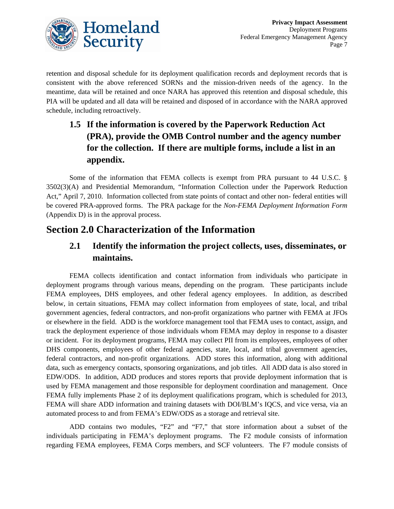

retention and disposal schedule for its deployment qualification records and deployment records that is consistent with the above referenced SORNs and the mission-driven needs of the agency. In the meantime, data will be retained and once NARA has approved this retention and disposal schedule, this PIA will be updated and all data will be retained and disposed of in accordance with the NARA approved schedule, including retroactively.

### **1.5 If the information is covered by the Paperwork Reduction Act (PRA), provide the OMB Control number and the agency number for the collection. If there are multiple forms, include a list in an appendix.**

Some of the information that FEMA collects is exempt from PRA pursuant to 44 U.S.C. § 3502(3)(A) and Presidential Memorandum, "Information Collection under the Paperwork Reduction Act," April 7, 2010. Information collected from state points of contact and other non- federal entities will be covered PRA-approved forms. The PRA package for the *Non-FEMA Deployment Information Form* (Appendix D) is in the approval process.

### **Section 2.0 Characterization of the Information**

### **2.1 Identify the information the project collects, uses, disseminates, or maintains.**

FEMA collects identification and contact information from individuals who participate in deployment programs through various means, depending on the program. These participants include FEMA employees, DHS employees, and other federal agency employees. In addition, as described below, in certain situations, FEMA may collect information from employees of state, local, and tribal government agencies, federal contractors, and non-profit organizations who partner with FEMA at JFOs or elsewhere in the field. ADD is the workforce management tool that FEMA uses to contact, assign, and track the deployment experience of those individuals whom FEMA may deploy in response to a disaster or incident. For its deployment programs, FEMA may collect PII from its employees, employees of other DHS components, employees of other federal agencies, state, local, and tribal government agencies, federal contractors, and non-profit organizations. ADD stores this information, along with additional data, such as emergency contacts, sponsoring organizations, and job titles. All ADD data is also stored in EDW/ODS. In addition, ADD produces and stores reports that provide deployment information that is used by FEMA management and those responsible for deployment coordination and management. Once FEMA fully implements Phase 2 of its deployment qualifications program, which is scheduled for 2013, FEMA will share ADD information and training datasets with DOI/BLM's IQCS, and vice versa, via an automated process to and from FEMA's EDW/ODS as a storage and retrieval site.

ADD contains two modules, "F2" and "F7," that store information about a subset of the individuals participating in FEMA's deployment programs. The F2 module consists of information regarding FEMA employees, FEMA Corps members, and SCF volunteers. The F7 module consists of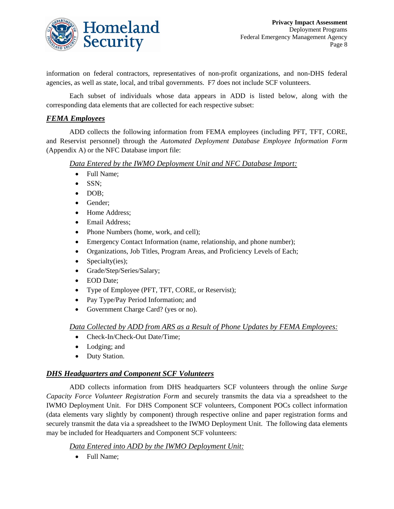

information on federal contractors, representatives of non-profit organizations, and non-DHS federal agencies, as well as state, local, and tribal governments. F7 does not include SCF volunteers.

Each subset of individuals whose data appears in ADD is listed below, along with the corresponding data elements that are collected for each respective subset:

#### *FEMA Employees*

ADD collects the following information from FEMA employees (including PFT, TFT, CORE, and Reservist personnel) through the *Automated Deployment Database Employee Information Form* (Appendix A) or the NFC Database import file:

#### *Data Entered by the IWMO Deployment Unit and NFC Database Import:*

- Full Name;
- SSN;
- DOB;
- Gender;
- Home Address;
- Email Address;
- Phone Numbers (home, work, and cell);
- Emergency Contact Information (name, relationship, and phone number);
- Organizations, Job Titles, Program Areas, and Proficiency Levels of Each;
- Specialty(ies);
- Grade/Step/Series/Salary;
- EOD Date;
- Type of Employee (PFT, TFT, CORE, or Reservist);
- Pay Type/Pay Period Information; and
- Government Charge Card? (yes or no).

#### *Data Collected by ADD from ARS as a Result of Phone Updates by FEMA Employees:*

- Check-In/Check-Out Date/Time;
- Lodging; and
- Duty Station.

#### *DHS Headquarters and Component SCF Volunteers*

ADD collects information from DHS headquarters SCF volunteers through the online *Surge Capacity Force Volunteer Registration Form* and securely transmits the data via a spreadsheet to the IWMO Deployment Unit. For DHS Component SCF volunteers, Component POCs collect information (data elements vary slightly by component) through respective online and paper registration forms and securely transmit the data via a spreadsheet to the IWMO Deployment Unit. The following data elements may be included for Headquarters and Component SCF volunteers:

#### *Data Entered into ADD by the IWMO Deployment Unit:*

• Full Name;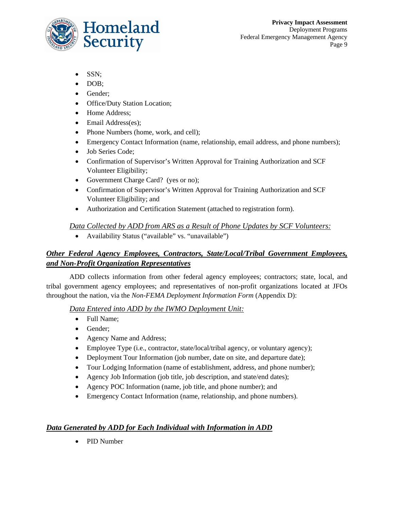

- SSN;
- DOB;
- Gender;
- Office/Duty Station Location;
- Home Address;
- Email Address(es);
- Phone Numbers (home, work, and cell);
- Emergency Contact Information (name, relationship, email address, and phone numbers);
- Job Series Code:
- Confirmation of Supervisor's Written Approval for Training Authorization and SCF Volunteer Eligibility;
- Government Charge Card? (yes or no);
- Confirmation of Supervisor's Written Approval for Training Authorization and SCF Volunteer Eligibility; and
- Authorization and Certification Statement (attached to registration form).

#### *Data Collected by ADD from ARS as a Result of Phone Updates by SCF Volunteers:*

• Availability Status ("available" vs. "unavailable")

#### *Other Federal Agency Employees, Contractors, State/Local/Tribal Government Employees, and Non-Profit Organization Representatives*

ADD collects information from other federal agency employees; contractors; state, local, and tribal government agency employees; and representatives of non-profit organizations located at JFOs throughout the nation, via the *Non-FEMA Deployment Information Form* (Appendix D):

*Data Entered into ADD by the IWMO Deployment Unit:*

- Full Name;
- Gender;
- Agency Name and Address;
- Employee Type (i.e., contractor, state/local/tribal agency, or voluntary agency);
- Deployment Tour Information (job number, date on site, and departure date);
- Tour Lodging Information (name of establishment, address, and phone number);
- Agency Job Information (job title, job description, and state/end dates);
- Agency POC Information (name, job title, and phone number); and
- Emergency Contact Information (name, relationship, and phone numbers).

#### *Data Generated by ADD for Each Individual with Information in ADD*

• PID Number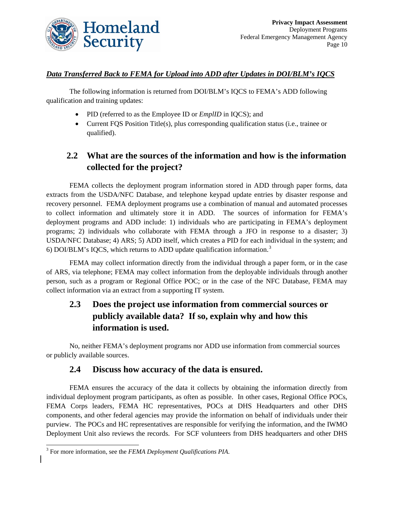

#### *Data Transferred Back to FEMA for Upload into ADD after Updates in DOI/BLM's IQCS*

The following information is returned from DOI/BLM's IQCS to FEMA's ADD following qualification and training updates:

- PID (referred to as the Employee ID or *EmplID* in IQCS); and
- Current FQS Position Title(s), plus corresponding qualification status (i.e., trainee or qualified).

#### **2.2 What are the sources of the information and how is the information collected for the project?**

FEMA collects the deployment program information stored in ADD through paper forms, data extracts from the USDA/NFC Database, and telephone keypad update entries by disaster response and recovery personnel. FEMA deployment programs use a combination of manual and automated processes to collect information and ultimately store it in ADD. The sources of information for FEMA's deployment programs and ADD include: 1) individuals who are participating in FEMA's deployment programs; 2) individuals who collaborate with FEMA through a JFO in response to a disaster; 3) USDA/NFC Database; 4) ARS; 5) ADD itself, which creates a PID for each individual in the system; and 6) DOI/BLM's IQCS, which returns to ADD update qualification information.<sup>[3](#page-10-0)</sup>

FEMA may collect information directly from the individual through a paper form, or in the case of ARS, via telephone; FEMA may collect information from the deployable individuals through another person, such as a program or Regional Office POC; or in the case of the NFC Database, FEMA may collect information via an extract from a supporting IT system.

#### **2.3 Does the project use information from commercial sources or publicly available data? If so, explain why and how this information is used.**

No, neither FEMA's deployment programs nor ADD use information from commercial sources or publicly available sources.

#### **2.4 Discuss how accuracy of the data is ensured.**

FEMA ensures the accuracy of the data it collects by obtaining the information directly from individual deployment program participants, as often as possible. In other cases, Regional Office POCs, FEMA Corps leaders, FEMA HC representatives, POCs at DHS Headquarters and other DHS components, and other federal agencies may provide the information on behalf of individuals under their purview. The POCs and HC representatives are responsible for verifying the information, and the IWMO Deployment Unit also reviews the records. For SCF volunteers from DHS headquarters and other DHS

<span id="page-10-0"></span> <sup>3</sup> For more information, see the *FEMA Deployment Qualifications PIA*.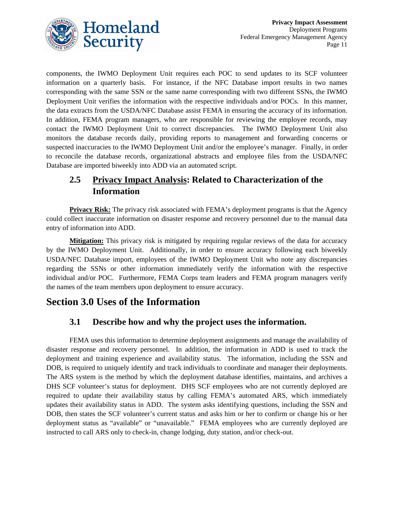

components, the IWMO Deployment Unit requires each POC to send updates to its SCF volunteer information on a quarterly basis. For instance, if the NFC Database import results in two names corresponding with the same SSN or the same name corresponding with two different SSNs, the IWMO Deployment Unit verifies the information with the respective individuals and/or POCs. In this manner, the data extracts from the USDA/NFC Database assist FEMA in ensuring the accuracy of its information. In addition, FEMA program managers, who are responsible for reviewing the employee records, may contact the IWMO Deployment Unit to correct discrepancies. The IWMO Deployment Unit also monitors the database records daily, providing reports to management and forwarding concerns or suspected inaccuracies to the IWMO Deployment Unit and/or the employee's manager. Finally, in order to reconcile the database records, organizational abstracts and employee files from the USDA/NFC Database are imported biweekly into ADD via an automated script.

### **2.5 Privacy Impact Analysis: Related to Characterization of the Information**

**Privacy Risk:** The privacy risk associated with FEMA's deployment programs is that the Agency could collect inaccurate information on disaster response and recovery personnel due to the manual data entry of information into ADD.

**Mitigation:** This privacy risk is mitigated by requiring regular reviews of the data for accuracy by the IWMO Deployment Unit. Additionally, in order to ensure accuracy following each biweekly USDA/NFC Database import, employees of the IWMO Deployment Unit who note any discrepancies regarding the SSNs or other information immediately verify the information with the respective individual and/or POC. Furthermore, FEMA Corps team leaders and FEMA program managers verify the names of the team members upon deployment to ensure accuracy.

### **Section 3.0 Uses of the Information**

#### **3.1 Describe how and why the project uses the information.**

FEMA uses this information to determine deployment assignments and manage the availability of disaster response and recovery personnel. In addition, the information in ADD is used to track the deployment and training experience and availability status. The information, including the SSN and DOB, is required to uniquely identify and track individuals to coordinate and manager their deployments. The ARS system is the method by which the deployment database identifies, maintains, and archives a DHS SCF volunteer's status for deployment. DHS SCF employees who are not currently deployed are required to update their availability status by calling FEMA's automated ARS, which immediately updates their availability status in ADD. The system asks identifying questions, including the SSN and DOB, then states the SCF volunteer's current status and asks him or her to confirm or change his or her deployment status as "available" or "unavailable." FEMA employees who are currently deployed are instructed to call ARS only to check-in, change lodging, duty station, and/or check-out.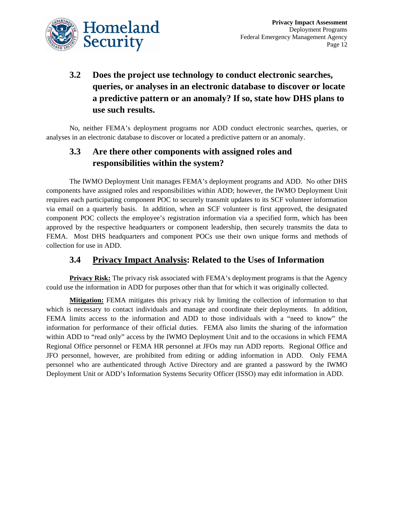

### **3.2 Does the project use technology to conduct electronic searches, queries, or analyses in an electronic database to discover or locate a predictive pattern or an anomaly? If so, state how DHS plans to use such results.**

No, neither FEMA's deployment programs nor ADD conduct electronic searches, queries, or analyses in an electronic database to discover or located a predictive pattern or an anomaly.

### **3.3 Are there other components with assigned roles and responsibilities within the system?**

The IWMO Deployment Unit manages FEMA's deployment programs and ADD. No other DHS components have assigned roles and responsibilities within ADD; however, the IWMO Deployment Unit requires each participating component POC to securely transmit updates to its SCF volunteer information via email on a quarterly basis. In addition, when an SCF volunteer is first approved, the designated component POC collects the employee's registration information via a specified form, which has been approved by the respective headquarters or component leadership, then securely transmits the data to FEMA. Most DHS headquarters and component POCs use their own unique forms and methods of collection for use in ADD.

#### **3.4 Privacy Impact Analysis: Related to the Uses of Information**

**Privacy Risk:** The privacy risk associated with FEMA's deployment programs is that the Agency could use the information in ADD for purposes other than that for which it was originally collected.

**Mitigation:** FEMA mitigates this privacy risk by limiting the collection of information to that which is necessary to contact individuals and manage and coordinate their deployments. In addition, FEMA limits access to the information and ADD to those individuals with a "need to know" the information for performance of their official duties. FEMA also limits the sharing of the information within ADD to "read only" access by the IWMO Deployment Unit and to the occasions in which FEMA Regional Office personnel or FEMA HR personnel at JFOs may run ADD reports. Regional Office and JFO personnel, however, are prohibited from editing or adding information in ADD. Only FEMA personnel who are authenticated through Active Directory and are granted a password by the IWMO Deployment Unit or ADD's Information Systems Security Officer (ISSO) may edit information in ADD.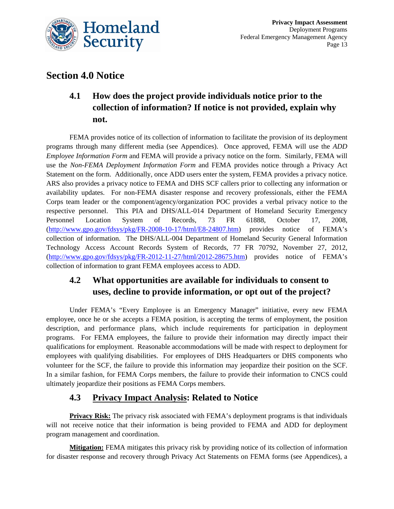

### **Section 4.0 Notice**

### **4.1 How does the project provide individuals notice prior to the collection of information? If notice is not provided, explain why not.**

FEMA provides notice of its collection of information to facilitate the provision of its deployment programs through many different media (see Appendices). Once approved, FEMA will use the *ADD Employee Information Form* and FEMA will provide a privacy notice on the form. Similarly, FEMA will use the *Non-FEMA Deployment Information Form* and FEMA provides notice through a Privacy Act Statement on the form. Additionally, once ADD users enter the system, FEMA provides a privacy notice. ARS also provides a privacy notice to FEMA and DHS SCF callers prior to collecting any information or availability updates. For non-FEMA disaster response and recovery professionals, either the FEMA Corps team leader or the component/agency/organization POC provides a verbal privacy notice to the respective personnel. This PIA and DHS/ALL-014 Department of Homeland Security Emergency Personnel Location System of Records, 73 FR 61888, October 17, 2008, [\(http://www.gpo.gov/fdsys/pkg/FR-2008-10-17/html/E8-24807.htm\)](http://www.gpo.gov/fdsys/pkg/FR-2008-10-17/html/E8-24807.htm) provides notice of FEMA's collection of information. The DHS/ALL-004 Department of Homeland Security General Information Technology Access Account Records System of Records, 77 FR 70792, November 27, 2012, [\(http://www.gpo.gov/fdsys/pkg/FR-2012-11-27/html/2012-28675.htm\)](http://www.gpo.gov/fdsys/pkg/FR-2012-11-27/html/2012-28675.htm) provides notice of FEMA's collection of information to grant FEMA employees access to ADD.

### **4.2 What opportunities are available for individuals to consent to uses, decline to provide information, or opt out of the project?**

Under FEMA's "Every Employee is an Emergency Manager" initiative, every new FEMA employee, once he or she accepts a FEMA position, is accepting the terms of employment, the position description, and performance plans, which include requirements for participation in deployment programs. For FEMA employees, the failure to provide their information may directly impact their qualifications for employment. Reasonable accommodations will be made with respect to deployment for employees with qualifying disabilities. For employees of DHS Headquarters or DHS components who volunteer for the SCF, the failure to provide this information may jeopardize their position on the SCF. In a similar fashion, for FEMA Corps members, the failure to provide their information to CNCS could ultimately jeopardize their positions as FEMA Corps members.

#### **4.3 Privacy Impact Analysis: Related to Notice**

**Privacy Risk:** The privacy risk associated with FEMA's deployment programs is that individuals will not receive notice that their information is being provided to FEMA and ADD for deployment program management and coordination.

**Mitigation:** FEMA mitigates this privacy risk by providing notice of its collection of information for disaster response and recovery through Privacy Act Statements on FEMA forms (see Appendices), a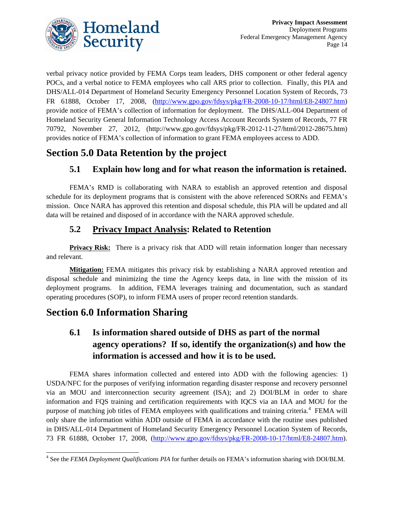

verbal privacy notice provided by FEMA Corps team leaders, DHS component or other federal agency POCs, and a verbal notice to FEMA employees who call ARS prior to collection. Finally, this PIA and DHS/ALL-014 Department of Homeland Security Emergency Personnel Location System of Records, 73 FR 61888, October 17, 2008, [\(http://www.gpo.gov/fdsys/pkg/FR-2008-10-17/html/E8-24807.htm\)](http://www.gpo.gov/fdsys/pkg/FR-2008-10-17/html/E8-24807.htm) provide notice of FEMA's collection of information for deployment. The DHS/ALL-004 Department of Homeland Security General Information Technology Access Account Records System of Records, 77 FR 70792, November 27, 2012, (http://www.gpo.gov/fdsys/pkg/FR-2012-11-27/html/2012-28675.htm) provides notice of FEMA's collection of information to grant FEMA employees access to ADD.

# **Section 5.0 Data Retention by the project**

#### **5.1 Explain how long and for what reason the information is retained.**

FEMA's RMD is collaborating with NARA to establish an approved retention and disposal schedule for its deployment programs that is consistent with the above referenced SORNs and FEMA's mission. Once NARA has approved this retention and disposal schedule, this PIA will be updated and all data will be retained and disposed of in accordance with the NARA approved schedule.

### **5.2 Privacy Impact Analysis: Related to Retention**

**Privacy Risk:** There is a privacy risk that ADD will retain information longer than necessary and relevant.

**Mitigation:** FEMA mitigates this privacy risk by establishing a NARA approved retention and disposal schedule and minimizing the time the Agency keeps data, in line with the mission of its deployment programs. In addition, FEMA leverages training and documentation, such as standard operating procedures (SOP), to inform FEMA users of proper record retention standards.

# **Section 6.0 Information Sharing**

### **6.1 Is information shared outside of DHS as part of the normal agency operations? If so, identify the organization(s) and how the information is accessed and how it is to be used.**

FEMA shares information collected and entered into ADD with the following agencies: 1) USDA/NFC for the purposes of verifying information regarding disaster response and recovery personnel via an MOU and interconnection security agreement (ISA); and 2) DOI/BLM in order to share information and FQS training and certification requirements with IQCS via an IAA and MOU for the purpose of matching job titles of FEMA employees with qualifications and training criteria.<sup>[4](#page-14-0)</sup> FEMA will only share the information within ADD outside of FEMA in accordance with the routine uses published in DHS/ALL-014 Department of Homeland Security Emergency Personnel Location System of Records, 73 FR 61888, October 17, 2008, [\(http://www.gpo.gov/fdsys/pkg/FR-2008-10-17/html/E8-24807.htm\)](http://www.gpo.gov/fdsys/pkg/FR-2008-10-17/html/E8-24807.htm).

<span id="page-14-0"></span><sup>&</sup>lt;sup>4</sup> See the *FEMA Deployment Qualifications PIA* for further details on FEMA's information sharing with DOI/BLM.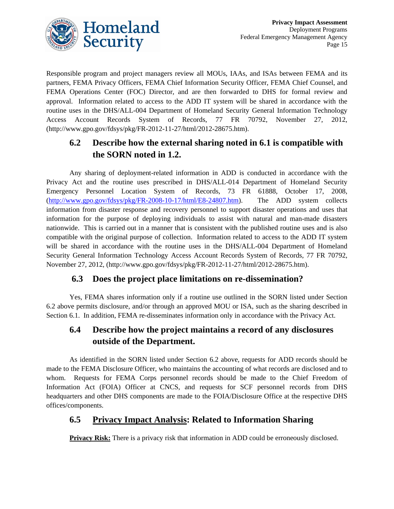

Responsible program and project managers review all MOUs, IAAs, and ISAs between FEMA and its partners, FEMA Privacy Officers, FEMA Chief Information Security Officer, FEMA Chief Counsel, and FEMA Operations Center (FOC) Director, and are then forwarded to DHS for formal review and approval. Information related to access to the ADD IT system will be shared in accordance with the routine uses in the DHS/ALL-004 Department of Homeland Security General Information Technology Access Account Records System of Records, 77 FR 70792, November 27, 2012, (http://www.gpo.gov/fdsys/pkg/FR-2012-11-27/html/2012-28675.htm).

#### **6.2 Describe how the external sharing noted in 6.1 is compatible with the SORN noted in 1.2.**

Any sharing of deployment-related information in ADD is conducted in accordance with the Privacy Act and the routine uses prescribed in DHS/ALL-014 Department of Homeland Security Emergency Personnel Location System of Records, 73 FR 61888, October 17, 2008, [\(http://www.gpo.gov/fdsys/pkg/FR-2008-10-17/html/E8-24807.htm\)](http://www.gpo.gov/fdsys/pkg/FR-2008-10-17/html/E8-24807.htm). The ADD system collects information from disaster response and recovery personnel to support disaster operations and uses that information for the purpose of deploying individuals to assist with natural and man-made disasters nationwide. This is carried out in a manner that is consistent with the published routine uses and is also compatible with the original purpose of collection. Information related to access to the ADD IT system will be shared in accordance with the routine uses in the DHS/ALL-004 Department of Homeland Security General Information Technology Access Account Records System of Records, 77 FR 70792, November 27, 2012, (http://www.gpo.gov/fdsys/pkg/FR-2012-11-27/html/2012-28675.htm).

#### **6.3 Does the project place limitations on re-dissemination?**

Yes, FEMA shares information only if a routine use outlined in the SORN listed under Section 6.2 above permits disclosure, and/or through an approved MOU or ISA, such as the sharing described in Section 6.1. In addition, FEMA re-disseminates information only in accordance with the Privacy Act.

#### **6.4 Describe how the project maintains a record of any disclosures outside of the Department.**

As identified in the SORN listed under Section 6.2 above, requests for ADD records should be made to the FEMA Disclosure Officer, who maintains the accounting of what records are disclosed and to whom. Requests for FEMA Corps personnel records should be made to the Chief Freedom of Information Act (FOIA) Officer at CNCS, and requests for SCF personnel records from DHS headquarters and other DHS components are made to the FOIA/Disclosure Office at the respective DHS offices/components.

#### **6.5 Privacy Impact Analysis: Related to Information Sharing**

**Privacy Risk:** There is a privacy risk that information in ADD could be erroneously disclosed.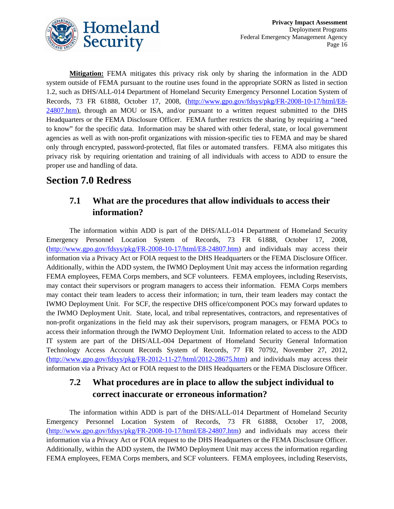

**Mitigation:** FEMA mitigates this privacy risk only by sharing the information in the ADD system outside of FEMA pursuant to the routine uses found in the appropriate SORN as listed in section 1.2, such as DHS/ALL-014 Department of Homeland Security Emergency Personnel Location System of Records, 73 FR 61888, October 17, 2008, [\(http://www.gpo.gov/fdsys/pkg/FR-2008-10-17/html/E8-](http://www.gpo.gov/fdsys/pkg/FR-2008-10-17/html/E8-24807.htm) [24807.htm\)](http://www.gpo.gov/fdsys/pkg/FR-2008-10-17/html/E8-24807.htm), through an MOU or ISA, and/or pursuant to a written request submitted to the DHS Headquarters or the FEMA Disclosure Officer. FEMA further restricts the sharing by requiring a "need to know" for the specific data. Information may be shared with other federal, state, or local government agencies as well as with non-profit organizations with mission-specific ties to FEMA and may be shared only through encrypted, password-protected, flat files or automated transfers. FEMA also mitigates this privacy risk by requiring orientation and training of all individuals with access to ADD to ensure the proper use and handling of data.

### **Section 7.0 Redress**

#### **7.1 What are the procedures that allow individuals to access their information?**

The information within ADD is part of the DHS/ALL-014 Department of Homeland Security Emergency Personnel Location System of Records, 73 FR 61888, October 17, 2008, [\(http://www.gpo.gov/fdsys/pkg/FR-2008-10-17/html/E8-24807.htm\)](http://www.gpo.gov/fdsys/pkg/FR-2008-10-17/html/E8-24807.htm) and individuals may access their information via a Privacy Act or FOIA request to the DHS Headquarters or the FEMA Disclosure Officer. Additionally, within the ADD system, the IWMO Deployment Unit may access the information regarding FEMA employees, FEMA Corps members, and SCF volunteers. FEMA employees, including Reservists, may contact their supervisors or program managers to access their information. FEMA Corps members may contact their team leaders to access their information; in turn, their team leaders may contact the IWMO Deployment Unit. For SCF, the respective DHS office/component POCs may forward updates to the IWMO Deployment Unit. State, local, and tribal representatives, contractors, and representatives of non-profit organizations in the field may ask their supervisors, program managers, or FEMA POCs to access their information through the IWMO Deployment Unit. Information related to access to the ADD IT system are part of the DHS/ALL-004 Department of Homeland Security General Information Technology Access Account Records System of Records, 77 FR 70792, November 27, 2012, [\(http://www.gpo.gov/fdsys/pkg/FR-2012-11-27/html/2012-28675.htm\)](http://www.gpo.gov/fdsys/pkg/FR-2012-11-27/html/2012-28675.htm) and individuals may access their information via a Privacy Act or FOIA request to the DHS Headquarters or the FEMA Disclosure Officer.

#### **7.2 What procedures are in place to allow the subject individual to correct inaccurate or erroneous information?**

The information within ADD is part of the DHS/ALL-014 Department of Homeland Security Emergency Personnel Location System of Records, 73 FR 61888, October 17, 2008, [\(http://www.gpo.gov/fdsys/pkg/FR-2008-10-17/html/E8-24807.htm\)](http://www.gpo.gov/fdsys/pkg/FR-2008-10-17/html/E8-24807.htm) and individuals may access their information via a Privacy Act or FOIA request to the DHS Headquarters or the FEMA Disclosure Officer. Additionally, within the ADD system, the IWMO Deployment Unit may access the information regarding FEMA employees, FEMA Corps members, and SCF volunteers. FEMA employees, including Reservists,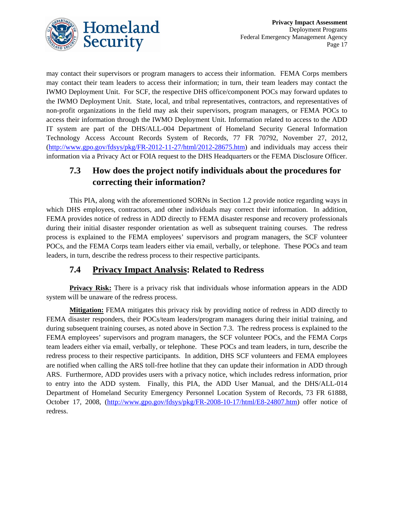

may contact their supervisors or program managers to access their information. FEMA Corps members may contact their team leaders to access their information; in turn, their team leaders may contact the IWMO Deployment Unit. For SCF, the respective DHS office/component POCs may forward updates to the IWMO Deployment Unit. State, local, and tribal representatives, contractors, and representatives of non-profit organizations in the field may ask their supervisors, program managers, or FEMA POCs to access their information through the IWMO Deployment Unit. Information related to access to the ADD IT system are part of the DHS/ALL-004 Department of Homeland Security General Information Technology Access Account Records System of Records, 77 FR 70792, November 27, 2012, [\(http://www.gpo.gov/fdsys/pkg/FR-2012-11-27/html/2012-28675.htm\)](http://www.gpo.gov/fdsys/pkg/FR-2012-11-27/html/2012-28675.htm) and individuals may access their information via a Privacy Act or FOIA request to the DHS Headquarters or the FEMA Disclosure Officer.

#### **7.3 How does the project notify individuals about the procedures for correcting their information?**

This PIA, along with the aforementioned SORNs in Section 1.2 provide notice regarding ways in which DHS employees, contractors, and other individuals may correct their information. In addition, FEMA provides notice of redress in ADD directly to FEMA disaster response and recovery professionals during their initial disaster responder orientation as well as subsequent training courses. The redress process is explained to the FEMA employees' supervisors and program managers, the SCF volunteer POCs, and the FEMA Corps team leaders either via email, verbally, or telephone. These POCs and team leaders, in turn, describe the redress process to their respective participants.

#### **7.4 Privacy Impact Analysis: Related to Redress**

**Privacy Risk:** There is a privacy risk that individuals whose information appears in the ADD system will be unaware of the redress process.

**Mitigation:** FEMA mitigates this privacy risk by providing notice of redress in ADD directly to FEMA disaster responders, their POCs/team leaders/program managers during their initial training, and during subsequent training courses, as noted above in Section 7.3. The redress process is explained to the FEMA employees' supervisors and program managers, the SCF volunteer POCs, and the FEMA Corps team leaders either via email, verbally, or telephone. These POCs and team leaders, in turn, describe the redress process to their respective participants. In addition, DHS SCF volunteers and FEMA employees are notified when calling the ARS toll-free hotline that they can update their information in ADD through ARS. Furthermore, ADD provides users with a privacy notice, which includes redress information, prior to entry into the ADD system. Finally, this PIA, the ADD User Manual, and the DHS/ALL-014 Department of Homeland Security Emergency Personnel Location System of Records, 73 FR 61888, October 17, 2008, [\(http://www.gpo.gov/fdsys/pkg/FR-2008-10-17/html/E8-24807.htm\)](http://www.gpo.gov/fdsys/pkg/FR-2008-10-17/html/E8-24807.htm) offer notice of redress.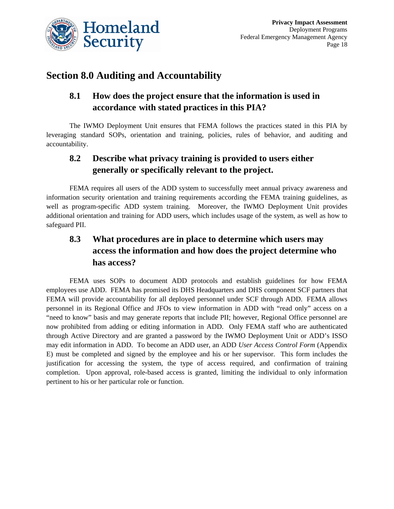

### **Section 8.0 Auditing and Accountability**

### **8.1 How does the project ensure that the information is used in accordance with stated practices in this PIA?**

The IWMO Deployment Unit ensures that FEMA follows the practices stated in this PIA by leveraging standard SOPs, orientation and training, policies, rules of behavior, and auditing and accountability.

#### **8.2 Describe what privacy training is provided to users either generally or specifically relevant to the project.**

FEMA requires all users of the ADD system to successfully meet annual privacy awareness and information security orientation and training requirements according the FEMA training guidelines, as well as program-specific ADD system training. Moreover, the IWMO Deployment Unit provides additional orientation and training for ADD users, which includes usage of the system, as well as how to safeguard PII.

### **8.3 What procedures are in place to determine which users may access the information and how does the project determine who has access?**

FEMA uses SOPs to document ADD protocols and establish guidelines for how FEMA employees use ADD. FEMA has promised its DHS Headquarters and DHS component SCF partners that FEMA will provide accountability for all deployed personnel under SCF through ADD. FEMA allows personnel in its Regional Office and JFOs to view information in ADD with "read only" access on a "need to know" basis and may generate reports that include PII; however, Regional Office personnel are now prohibited from adding or editing information in ADD. Only FEMA staff who are authenticated through Active Directory and are granted a password by the IWMO Deployment Unit or ADD's ISSO may edit information in ADD. To become an ADD user, an ADD *User Access Control Form* (Appendix E) must be completed and signed by the employee and his or her supervisor. This form includes the justification for accessing the system, the type of access required, and confirmation of training completion. Upon approval, role-based access is granted, limiting the individual to only information pertinent to his or her particular role or function.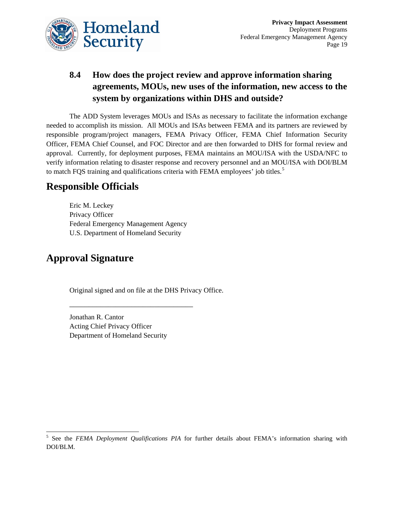

### **8.4 How does the project review and approve information sharing agreements, MOUs, new uses of the information, new access to the system by organizations within DHS and outside?**

The ADD System leverages MOUs and ISAs as necessary to facilitate the information exchange needed to accomplish its mission. All MOUs and ISAs between FEMA and its partners are reviewed by responsible program/project managers, FEMA Privacy Officer, FEMA Chief Information Security Officer, FEMA Chief Counsel, and FOC Director and are then forwarded to DHS for formal review and approval. Currently, for deployment purposes, FEMA maintains an MOU/ISA with the USDA/NFC to verify information relating to disaster response and recovery personnel and an MOU/ISA with DOI/BLM to match FQS training and qualifications criteria with FEMA employees' job titles.<sup>[5](#page-19-0)</sup>

# **Responsible Officials**

Eric M. Leckey Privacy Officer Federal Emergency Management Agency U.S. Department of Homeland Security

# **Approval Signature**

Original signed and on file at the DHS Privacy Office.

\_\_\_\_\_\_\_\_\_\_\_\_\_\_\_\_\_\_\_\_\_\_\_\_\_\_\_\_\_\_\_\_

Jonathan R. Cantor Acting Chief Privacy Officer Department of Homeland Security

<span id="page-19-0"></span><sup>&</sup>lt;sup>5</sup> See the *FEMA Deployment Qualifications PIA* for further details about FEMA's information sharing with DOI/BLM.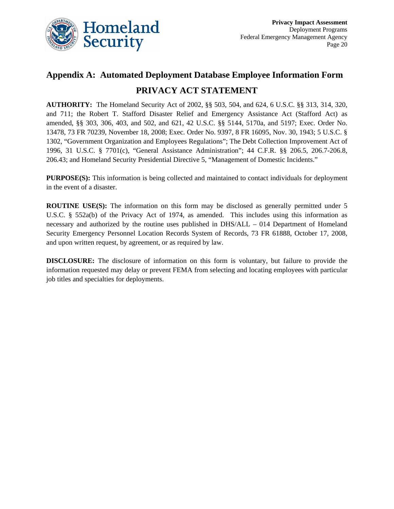

# **Appendix A: Automated Deployment Database Employee Information Form PRIVACY ACT STATEMENT**

**AUTHORITY:** The Homeland Security Act of 2002, §§ 503, 504, and 624, 6 U.S.C. §§ 313, 314, 320, and 711; the Robert T. Stafford Disaster Relief and Emergency Assistance Act (Stafford Act) as amended, §§ 303, 306, 403, and 502, and 621, 42 U.S.C. §§ 5144, 5170a, and 5197; Exec. Order No. 13478, 73 FR 70239, November 18, 2008; Exec. Order No. 9397, 8 FR 16095, Nov. 30, 1943; 5 U.S.C. § 1302, "Government Organization and Employees Regulations"; The Debt Collection Improvement Act of 1996, 31 U.S.C. § 7701(c), "General Assistance Administration"; 44 C.F.R. §§ 206.5, 206.7-206.8, 206.43; and Homeland Security Presidential Directive 5, "Management of Domestic Incidents."

**PURPOSE(S):** This information is being collected and maintained to contact individuals for deployment in the event of a disaster.

**ROUTINE USE(S):** The information on this form may be disclosed as generally permitted under 5 U.S.C. § 552a(b) of the Privacy Act of 1974, as amended. This includes using this information as necessary and authorized by the routine uses published in DHS/ALL – 014 Department of Homeland Security Emergency Personnel Location Records System of Records, 73 FR 61888, October 17, 2008, and upon written request, by agreement, or as required by law.

**DISCLOSURE:** The disclosure of information on this form is voluntary, but failure to provide the information requested may delay or prevent FEMA from selecting and locating employees with particular job titles and specialties for deployments.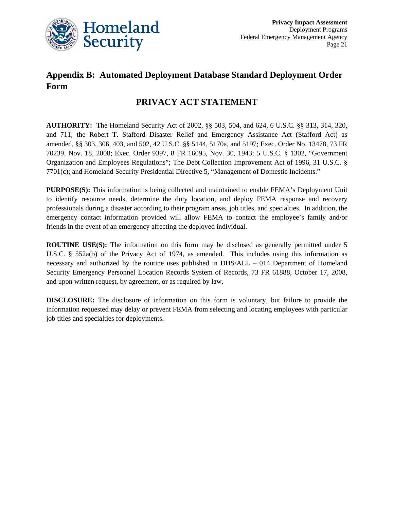

### **Appendix B: Automated Deployment Database Standard Deployment Order Form**

#### **PRIVACY ACT STATEMENT**

**AUTHORITY:** The Homeland Security Act of 2002, §§ 503, 504, and 624, 6 U.S.C. §§ 313, 314, 320, and 711; the Robert T. Stafford Disaster Relief and Emergency Assistance Act (Stafford Act) as amended, §§ 303, 306, 403, and 502, 42 U.S.C. §§ 5144, 5170a, and 5197; Exec. Order No. 13478, 73 FR 70239, Nov. 18, 2008; Exec. Order 9397, 8 FR 16095, Nov. 30, 1943; 5 U.S.C. § 1302, "Government Organization and Employees Regulations"; The Debt Collection Improvement Act of 1996, 31 U.S.C. § 7701(c); and Homeland Security Presidential Directive 5, "Management of Domestic Incidents."

**PURPOSE(S):** This information is being collected and maintained to enable FEMA's Deployment Unit to identify resource needs, determine the duty location, and deploy FEMA response and recovery professionals during a disaster according to their program areas, job titles, and specialties. In addition, the emergency contact information provided will allow FEMA to contact the employee's family and/or friends in the event of an emergency affecting the deployed individual.

**ROUTINE USE(S):** The information on this form may be disclosed as generally permitted under 5 U.S.C. § 552a(b) of the Privacy Act of 1974, as amended. This includes using this information as necessary and authorized by the routine uses published in DHS/ALL – 014 Department of Homeland Security Emergency Personnel Location Records System of Records, 73 FR 61888, October 17, 2008, and upon written request, by agreement, or as required by law.

**DISCLOSURE:** The disclosure of information on this form is voluntary, but failure to provide the information requested may delay or prevent FEMA from selecting and locating employees with particular job titles and specialties for deployments.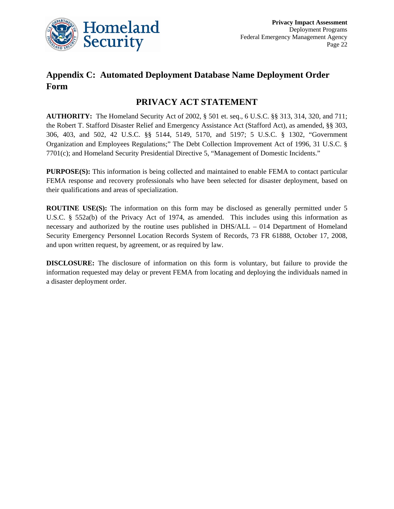

### **Appendix C: Automated Deployment Database Name Deployment Order Form**

#### **PRIVACY ACT STATEMENT**

**AUTHORITY:** The Homeland Security Act of 2002, § 501 et. seq., 6 U.S.C. §§ 313, 314, 320, and 711; the Robert T. Stafford Disaster Relief and Emergency Assistance Act (Stafford Act), as amended, §§ 303, 306, 403, and 502, 42 U.S.C. §§ 5144, 5149, 5170, and 5197; 5 U.S.C. § 1302, "Government Organization and Employees Regulations;" The Debt Collection Improvement Act of 1996, 31 U.S.C. § 7701(c); and Homeland Security Presidential Directive 5, "Management of Domestic Incidents."

**PURPOSE(S):** This information is being collected and maintained to enable FEMA to contact particular FEMA response and recovery professionals who have been selected for disaster deployment, based on their qualifications and areas of specialization.

**ROUTINE USE(S):** The information on this form may be disclosed as generally permitted under 5 U.S.C. § 552a(b) of the Privacy Act of 1974, as amended. This includes using this information as necessary and authorized by the routine uses published in DHS/ALL – 014 Department of Homeland Security Emergency Personnel Location Records System of Records, 73 FR 61888, October 17, 2008, and upon written request, by agreement, or as required by law.

**DISCLOSURE:** The disclosure of information on this form is voluntary, but failure to provide the information requested may delay or prevent FEMA from locating and deploying the individuals named in a disaster deployment order.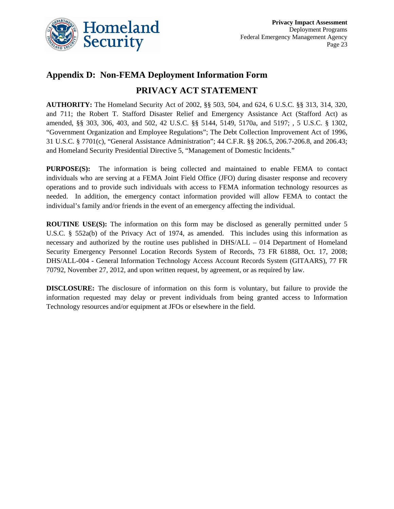

# **Appendix D: Non-FEMA Deployment Information Form PRIVACY ACT STATEMENT**

**AUTHORITY:** The Homeland Security Act of 2002, §§ 503, 504, and 624, 6 U.S.C. §§ 313, 314, 320, and 711; the Robert T. Stafford Disaster Relief and Emergency Assistance Act (Stafford Act) as amended, §§ 303, 306, 403, and 502, 42 U.S.C. §§ 5144, 5149, 5170a, and 5197; , 5 U.S.C. § 1302, "Government Organization and Employee Regulations"; The Debt Collection Improvement Act of 1996, 31 U.S.C. § 7701(c), "General Assistance Administration"; 44 C.F.R. §§ 206.5, 206.7-206.8, and 206.43; and Homeland Security Presidential Directive 5, "Management of Domestic Incidents."

**PURPOSE(S):** The information is being collected and maintained to enable FEMA to contact individuals who are serving at a FEMA Joint Field Office (JFO) during disaster response and recovery operations and to provide such individuals with access to FEMA information technology resources as needed. In addition, the emergency contact information provided will allow FEMA to contact the individual's family and/or friends in the event of an emergency affecting the individual.

**ROUTINE USE(S):** The information on this form may be disclosed as generally permitted under 5 U.S.C. § 552a(b) of the Privacy Act of 1974, as amended. This includes using this information as necessary and authorized by the routine uses published in DHS/ALL – 014 Department of Homeland Security Emergency Personnel Location Records System of Records, 73 FR 61888, Oct. 17, 2008; DHS/ALL-004 - General Information Technology Access Account Records System (GITAARS), 77 FR 70792, November 27, 2012, and upon written request, by agreement, or as required by law.

**DISCLOSURE:** The disclosure of information on this form is voluntary, but failure to provide the information requested may delay or prevent individuals from being granted access to Information Technology resources and/or equipment at JFOs or elsewhere in the field.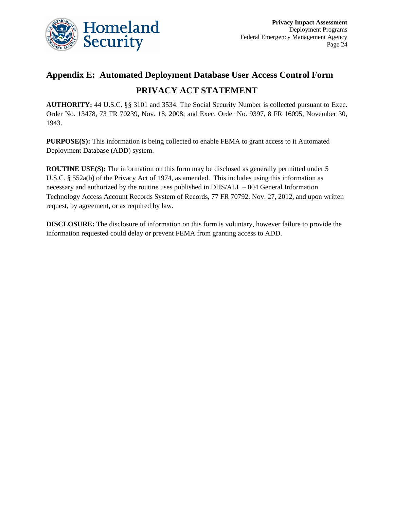

# **Appendix E: Automated Deployment Database User Access Control Form PRIVACY ACT STATEMENT**

**AUTHORITY:** 44 U.S.C. §§ 3101 and 3534. The Social Security Number is collected pursuant to Exec. Order No. 13478, 73 FR 70239, Nov. 18, 2008; and Exec. Order No. 9397, 8 FR 16095, November 30, 1943.

**PURPOSE(S):** This information is being collected to enable FEMA to grant access to it Automated Deployment Database (ADD) system.

**ROUTINE USE(S):** The information on this form may be disclosed as generally permitted under 5 U.S.C. § 552a(b) of the Privacy Act of 1974, as amended. This includes using this information as necessary and authorized by the routine uses published in DHS/ALL – 004 General Information Technology Access Account Records System of Records, 77 FR 70792, Nov. 27, 2012, and upon written request, by agreement, or as required by law.

**DISCLOSURE:** The disclosure of information on this form is voluntary, however failure to provide the information requested could delay or prevent FEMA from granting access to ADD.